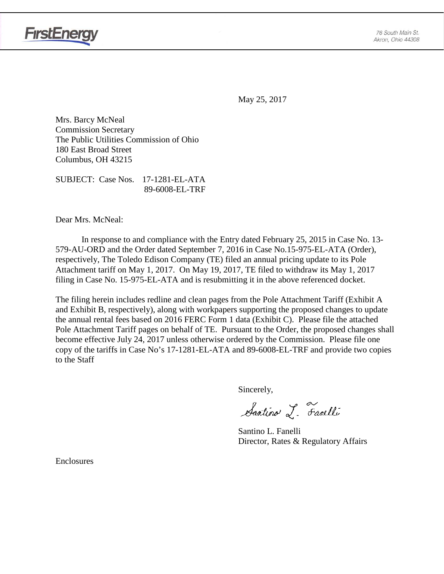

May 25, 2017

Mrs. Barcy McNeal Commission Secretary The Public Utilities Commission of Ohio 180 East Broad Street Columbus, OH 43215

SUBJECT: Case Nos. 17-1281-EL-ATA 89-6008-EL-TRF

Dear Mrs. McNeal:

In response to and compliance with the Entry dated February 25, 2015 in Case No. 13- 579-AU-ORD and the Order dated September 7, 2016 in Case No.15-975-EL-ATA (Order), respectively, The Toledo Edison Company (TE) filed an annual pricing update to its Pole Attachment tariff on May 1, 2017. On May 19, 2017, TE filed to withdraw its May 1, 2017 filing in Case No. 15-975-EL-ATA and is resubmitting it in the above referenced docket.

The filing herein includes redline and clean pages from the Pole Attachment Tariff (Exhibit A and Exhibit B, respectively), along with workpapers supporting the proposed changes to update the annual rental fees based on 2016 FERC Form 1 data (Exhibit C). Please file the attached Pole Attachment Tariff pages on behalf of TE. Pursuant to the Order, the proposed changes shall become effective July 24, 2017 unless otherwise ordered by the Commission. Please file one copy of the tariffs in Case No's 17-1281-EL-ATA and 89-6008-EL-TRF and provide two copies to the Staff

Sincerely,

Santino L. Farelli

Santino L. Fanelli Director, Rates & Regulatory Affairs

Enclosures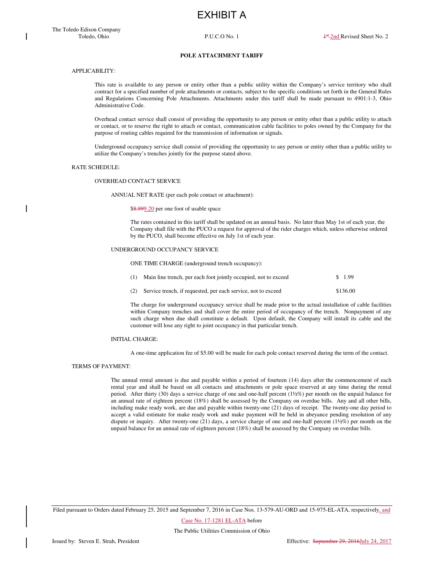EXHIBIT A

## **POLE ATTACHMENT TARIFF**

# APPLICABILITY:

This rate is available to any person or entity other than a public utility within the Company's service territory who shall contract for a specified number of pole attachments or contacts, subject to the specific conditions set forth in the General Rules and Regulations Concerning Pole Attachments. Attachments under this tariff shall be made pursuant to 4901:1-3, Ohio Administrative Code.

Overhead contact service shall consist of providing the opportunity to any person or entity other than a public utility to attach or contact, or to reserve the right to attach or contact, communication cable facilities to poles owned by the Company for the purpose of routing cables required for the transmission of information or signals.

Underground occupancy service shall consist of providing the opportunity to any person or entity other than a public utility to utilize the Company's trenches jointly for the purpose stated above.

#### RATE SCHEDULE:

#### OVERHEAD CONTACT SERVICE

ANNUAL NET RATE (per each pole contact or attachment):

\$8.999.20 per one foot of usable space

The rates contained in this tariff shall be updated on an annual basis. No later than May 1st of each year, the Company shall file with the PUCO a request for approval of the rider charges which, unless otherwise ordered by the PUCO, shall become effective on July 1st of each year.

#### UNDERGROUND OCCUPANCY SERVICE

ONE TIME CHARGE (underground trench occupancy):

| (1) Main line trench, per each foot jointly occupied, not to exceed | \$1.99   |
|---------------------------------------------------------------------|----------|
| (2) Service trench, if requested, per each service, not to exceed   | \$136.00 |

The charge for underground occupancy service shall be made prior to the actual installation of cable facilities within Company trenches and shall cover the entire period of occupancy of the trench. Nonpayment of any such charge when due shall constitute a default. Upon default, the Company will install its cable and the customer will lose any right to joint occupancy in that particular trench.

#### INITIAL CHARGE:

A one-time application fee of \$5.00 will be made for each pole contact reserved during the term of the contact.

# TERMS OF PAYMENT:

The annual rental amount is due and payable within a period of fourteen (14) days after the commencement of each rental year and shall be based on all contacts and attachments or pole space reserved at any time during the rental period. After thirty (30) days a service charge of one and one-half percent (1½%) per month on the unpaid balance for an annual rate of eighteen percent (18%) shall be assessed by the Company on overdue bills. Any and all other bills, including make ready work, are due and payable within twenty-one (21) days of receipt. The twenty-one day period to accept a valid estimate for make ready work and make payment will be held in abeyance pending resolution of any dispute or inquiry. After twenty-one (21) days, a service charge of one and one-half percent (1½%) per month on the unpaid balance for an annual rate of eighteen percent (18%) shall be assessed by the Company on overdue bills.

Filed pursuant to Orders dated February 25, 2015 and September 7, 2016 in Case Nos. 13-579-AU-ORD and 15-975-EL-ATA, respectively, and

Case No. 17-1281 EL-ATA before

The Public Utilities Commission of Ohio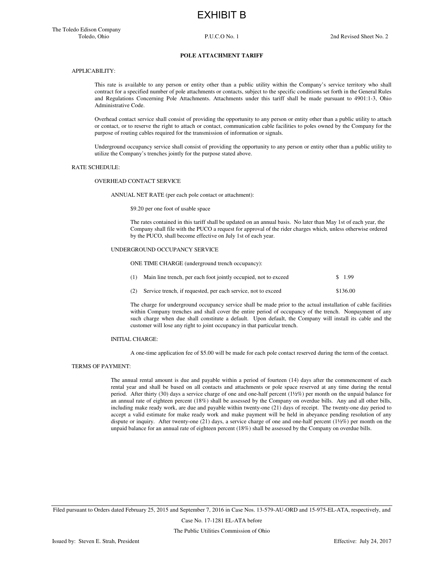EXHIBIT B

#### **POLE ATTACHMENT TARIFF**

# APPLICABILITY:

This rate is available to any person or entity other than a public utility within the Company's service territory who shall contract for a specified number of pole attachments or contacts, subject to the specific conditions set forth in the General Rules and Regulations Concerning Pole Attachments. Attachments under this tariff shall be made pursuant to 4901:1-3, Ohio Administrative Code.

Overhead contact service shall consist of providing the opportunity to any person or entity other than a public utility to attach or contact, or to reserve the right to attach or contact, communication cable facilities to poles owned by the Company for the purpose of routing cables required for the transmission of information or signals.

Underground occupancy service shall consist of providing the opportunity to any person or entity other than a public utility to utilize the Company's trenches jointly for the purpose stated above.

#### RATE SCHEDULE:

#### OVERHEAD CONTACT SERVICE

ANNUAL NET RATE (per each pole contact or attachment):

\$9.20 per one foot of usable space

The rates contained in this tariff shall be updated on an annual basis. No later than May 1st of each year, the Company shall file with the PUCO a request for approval of the rider charges which, unless otherwise ordered by the PUCO, shall become effective on July 1st of each year.

# UNDERGROUND OCCUPANCY SERVICE

ONE TIME CHARGE (underground trench occupancy):

| (1) | Main line trench, per each foot jointly occupied, not to exceed | \$ 1.99  |
|-----|-----------------------------------------------------------------|----------|
| (2) | Service trench, if requested, per each service, not to exceed   | \$136.00 |

The charge for underground occupancy service shall be made prior to the actual installation of cable facilities within Company trenches and shall cover the entire period of occupancy of the trench. Nonpayment of any such charge when due shall constitute a default. Upon default, the Company will install its cable and the customer will lose any right to joint occupancy in that particular trench.

## INITIAL CHARGE:

A one-time application fee of \$5.00 will be made for each pole contact reserved during the term of the contact.

# TERMS OF PAYMENT:

The annual rental amount is due and payable within a period of fourteen (14) days after the commencement of each rental year and shall be based on all contacts and attachments or pole space reserved at any time during the rental period. After thirty (30) days a service charge of one and one-half percent (1½%) per month on the unpaid balance for an annual rate of eighteen percent (18%) shall be assessed by the Company on overdue bills. Any and all other bills, including make ready work, are due and payable within twenty-one (21) days of receipt. The twenty-one day period to accept a valid estimate for make ready work and make payment will be held in abeyance pending resolution of any dispute or inquiry. After twenty-one (21) days, a service charge of one and one-half percent (1½%) per month on the unpaid balance for an annual rate of eighteen percent (18%) shall be assessed by the Company on overdue bills.

Filed pursuant to Orders dated February 25, 2015 and September 7, 2016 in Case Nos. 13-579-AU-ORD and 15-975-EL-ATA, respectively, and

Case No. 17-1281 EL-ATA before

The Public Utilities Commission of Ohio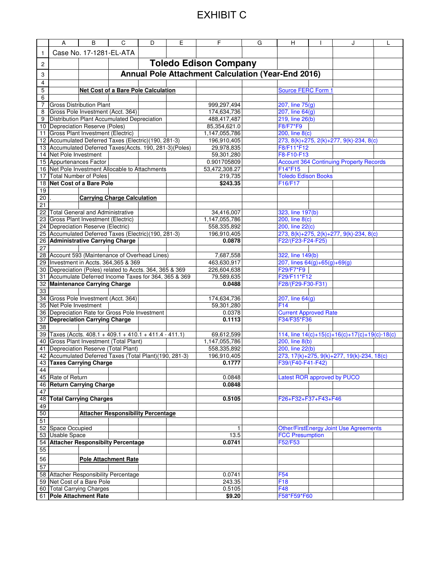# EXHIBIT C

|              | A                                                                                                  | B                       | C                                           | D    | E | F.                                                        | G | н                                  | J                                               |  |
|--------------|----------------------------------------------------------------------------------------------------|-------------------------|---------------------------------------------|------|---|-----------------------------------------------------------|---|------------------------------------|-------------------------------------------------|--|
| $\mathbf{1}$ |                                                                                                    | Case No. 17-1281-EL-ATA |                                             |      |   |                                                           |   |                                    |                                                 |  |
| 2            |                                                                                                    |                         |                                             |      |   | <b>Toledo Edison Company</b>                              |   |                                    |                                                 |  |
| 3            |                                                                                                    |                         |                                             |      |   | <b>Annual Pole Attachment Calculation (Year-End 2016)</b> |   |                                    |                                                 |  |
| 4            |                                                                                                    |                         |                                             |      |   |                                                           |   |                                    |                                                 |  |
| 5            |                                                                                                    |                         | <b>Net Cost of a Bare Pole Calculation</b>  |      |   |                                                           |   | Source FERC Form 1                 |                                                 |  |
| 6            |                                                                                                    |                         |                                             |      |   |                                                           |   |                                    |                                                 |  |
| 7<br>8       | <b>Gross Distribution Plant</b><br>Gross Pole Investment (Acct. 364)                               |                         |                                             |      |   | 999,297,494<br>174,634,736                                |   | 207, line 75(g)<br>207, line 64(g) |                                                 |  |
| 9            |                                                                                                    |                         | Distribution Plant Accumulated Depreciation |      |   | 488,417,487                                               |   | 219, line 26(b)                    |                                                 |  |
|              | 10 Depreciation Reserve (Poles)                                                                    |                         |                                             |      |   | 85,354,621.0                                              |   | F8/F7*F9                           |                                                 |  |
| 11           | Gross Plant Investment (Electric)                                                                  |                         |                                             |      |   | 1,147,055,786                                             |   | 200, line 8(c)                     |                                                 |  |
| 12           | Accumulated Deferred Taxes (Electric)(190, 281-3)                                                  |                         |                                             |      |   | 196,910,405                                               |   |                                    | 273, 8(k)+275, 2(k)+277, 9(k)-234, 8(c)         |  |
|              | 13 Accumulated Deferred Taxes(Accts. 190, 281-3)(Poles)                                            |                         |                                             |      |   | 29,978,835                                                |   | F8/F11*F12                         |                                                 |  |
|              | 14 Net Pole Investment                                                                             |                         |                                             |      |   | 59,301,280                                                |   | F8-F10-F13                         |                                                 |  |
|              | 15 Appurtenances Factor<br>16 Net Pole Investment Allocable to Attachments                         |                         |                                             |      |   | 0.901705809<br>53,472,308.27                              |   | F14*F15                            | <b>Account 364 Continuing Property Records</b>  |  |
| 17           | <b>Total Number of Poles</b>                                                                       |                         |                                             |      |   | 219,735                                                   |   | <b>Toledo Edison Books</b>         |                                                 |  |
| 18           | Net Cost of a Bare Pole                                                                            |                         |                                             |      |   | \$243.35                                                  |   | F16/F17                            |                                                 |  |
| 19           |                                                                                                    |                         |                                             |      |   |                                                           |   |                                    |                                                 |  |
| 20           |                                                                                                    |                         | <b>Carrying Charge Calculation</b>          |      |   |                                                           |   |                                    |                                                 |  |
| 21           |                                                                                                    |                         |                                             |      |   |                                                           |   |                                    |                                                 |  |
|              | 22 Total General and Administrative                                                                |                         |                                             |      |   | 34,416,007                                                |   | 323, line 197(b)                   |                                                 |  |
| 23           | Gross Plant Investment (Electric)<br>24 Depreciation Reserve (Electric)                            |                         |                                             |      |   | 1,147,055,786<br>558,335,892                              |   | 200, line 8(c)<br>200, line 22(c)  |                                                 |  |
|              | 25 Accumulated Deferred Taxes (Electric)(190, 281-3)                                               |                         |                                             |      |   | 196,910,405                                               |   |                                    | 273, 8(k)+275, 2(k)+277, 9(k)-234, 8(c)         |  |
|              | 26 Administrative Carrying Charge                                                                  |                         |                                             |      |   | 0.0878                                                    |   | F22/(F23-F24-F25)                  |                                                 |  |
| 27           |                                                                                                    |                         |                                             |      |   |                                                           |   |                                    |                                                 |  |
|              | 28 Account 593 (Maintenance of Overhead Lines)                                                     |                         |                                             |      |   | 7,687,558                                                 |   | 322, line 149(b)                   |                                                 |  |
| 29           | Investment in Accts. 364,365 & 369                                                                 |                         |                                             |      |   | 463,630,917                                               |   | 207, lines $64(g)+65(g)+69(g)$     |                                                 |  |
|              | 30   Depreciation (Poles) related to Accts. 364, 365 & 369                                         |                         |                                             |      |   | 226,604,638                                               |   | F29/F7*F9                          |                                                 |  |
| 32           | 31 Accumulate Deferred Income Taxes for 364, 365 & 369<br><b>Maintenance Carrying Charge</b>       |                         |                                             |      |   | 79,589,635<br>0.0488                                      |   | F29/F11*F12<br>F28/(F29-F30-F31)   |                                                 |  |
| 33           |                                                                                                    |                         |                                             |      |   |                                                           |   |                                    |                                                 |  |
|              | 34 Gross Pole Investment (Acct. 364)                                                               |                         |                                             |      |   | 174,634,736                                               |   | 207, line 64(g)                    |                                                 |  |
|              | 35 Net Pole Investment                                                                             |                         |                                             |      |   | 59,301,280                                                |   | F <sub>14</sub>                    |                                                 |  |
|              | 36 Depreciation Rate for Gross Pole Investment                                                     |                         |                                             |      |   | 0.0378                                                    |   | <b>Current Approved Rate</b>       |                                                 |  |
| 37           | <b>Depreciation Carrying Charge</b>                                                                |                         |                                             |      |   | 0.1113                                                    |   | F34/F35*F36                        |                                                 |  |
| 38           |                                                                                                    |                         |                                             |      |   |                                                           |   |                                    |                                                 |  |
|              | 39 Taxes (Accts. 408.1 + 409.1 + 410.1 + 411.4 - 411.1)<br>40 Gross Plant Investment (Total Plant) |                         |                                             |      |   | 69,612,599<br>1.147.055.786                               |   | 200, line 8(b)                     | 114, line $14(c)+15(c)+16(c)+17(c)+19(c)-18(c)$ |  |
| 41           | Depreciation Reserve (Total Plant)                                                                 |                         |                                             |      |   | 558,335,892                                               |   | 200, line 22(b)                    |                                                 |  |
|              | 42 Accumulated Deferred Taxes (Total Plant)(190, 281-3)                                            |                         |                                             |      |   | 196,910,405                                               |   |                                    | 273, 17(k)+275, 9(k)+277, 19(k)-234, 18(c)      |  |
|              | 43 Taxes Carrying Charge                                                                           |                         |                                             |      |   | 0.1777                                                    |   | F39/(F40-F41-F42)                  |                                                 |  |
| 44           |                                                                                                    |                         |                                             |      |   |                                                           |   |                                    |                                                 |  |
|              | 45 Rate of Return                                                                                  |                         |                                             |      |   | 0.0848                                                    |   | Latest ROR approved by PUCO        |                                                 |  |
| 46           | <b>Return Carrying Charge</b>                                                                      |                         |                                             |      |   | 0.0848                                                    |   |                                    |                                                 |  |
| 47           | <b>Total Carrying Charges</b>                                                                      |                         |                                             |      |   | 0.5105                                                    |   | F26+F32+F37+F43+F46                |                                                 |  |
| 48<br>49     |                                                                                                    |                         |                                             |      |   |                                                           |   |                                    |                                                 |  |
| 50           |                                                                                                    |                         | <b>Attacher Responsibility Percentage</b>   |      |   |                                                           |   |                                    |                                                 |  |
| 51           |                                                                                                    |                         |                                             |      |   |                                                           |   |                                    |                                                 |  |
| 52           | Space Occupied                                                                                     |                         |                                             |      |   | 1                                                         |   |                                    | <b>Other/FirstEnergy Joint Use Agreements</b>   |  |
|              | 53 Usable Space<br><b>Attacher Responsibilty Percentage</b>                                        |                         |                                             | 13.5 |   | <b>FCC Presumption</b>                                    |   |                                    |                                                 |  |
| 54           |                                                                                                    |                         |                                             |      |   | 0.0741                                                    |   | F52/F53                            |                                                 |  |
| 55           |                                                                                                    |                         |                                             |      |   |                                                           |   |                                    |                                                 |  |
| 56           |                                                                                                    |                         | <b>Pole Attachment Rate</b>                 |      |   |                                                           |   |                                    |                                                 |  |
| 57           |                                                                                                    |                         |                                             |      |   |                                                           |   |                                    |                                                 |  |
|              | 58 Attacher Responsibility Percentage<br>59 Net Cost of a Bare Pole                                |                         |                                             |      |   | 0.0741<br>243.35                                          |   | F <sub>54</sub><br>F <sub>18</sub> |                                                 |  |
|              | 60 Total Carrying Charges                                                                          |                         |                                             |      |   | 0.5105                                                    |   | F48                                |                                                 |  |
|              | 61 Pole Attachment Rate                                                                            |                         |                                             |      |   | \$9.20                                                    |   | F58*F59*F60                        |                                                 |  |
|              |                                                                                                    |                         |                                             |      |   |                                                           |   |                                    |                                                 |  |